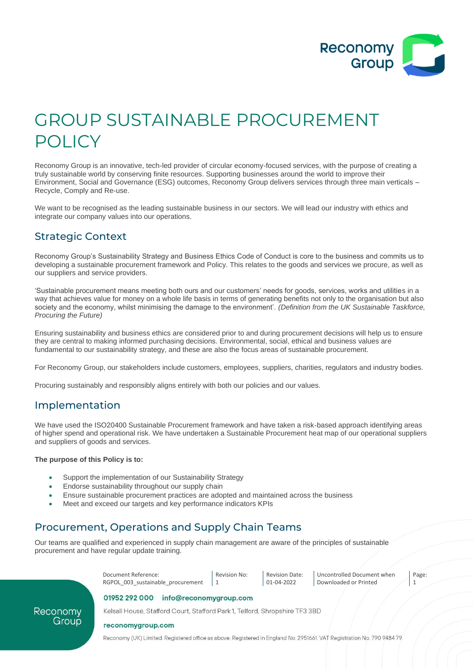

# GROUP SUSTAINABLE PROCUREMENT POLICY

Reconomy Group is an innovative, tech-led provider of circular economy-focused services, with the purpose of creating a truly sustainable world by conserving finite resources. Supporting businesses around the world to improve their Environment, Social and Governance (ESG) outcomes, Reconomy Group delivers services through three main verticals – Recycle, Comply and Re-use.

We want to be recognised as the leading sustainable business in our sectors. We will lead our industry with ethics and integrate our company values into our operations.

### Strategic Context

Reconomy Group's Sustainability Strategy and Business Ethics Code of Conduct is core to the business and commits us to developing a sustainable procurement framework and Policy. This relates to the goods and services we procure, as well as our suppliers and service providers.

'Sustainable procurement means meeting both ours and our customers' needs for goods, services, works and utilities in a way that achieves value for money on a whole life basis in terms of generating benefits not only to the organisation but also society and the economy, whilst minimising the damage to the environment'. *(Definition from the UK Sustainable Taskforce, Procuring the Future)*

Ensuring sustainability and business ethics are considered prior to and during procurement decisions will help us to ensure they are central to making informed purchasing decisions. Environmental, social, ethical and business values are fundamental to our sustainability strategy, and these are also the focus areas of sustainable procurement.

For Reconomy Group, our stakeholders include customers, employees, suppliers, charities, regulators and industry bodies.

Procuring sustainably and responsibly aligns entirely with both our policies and our values.

### Implementation

We have used the ISO20400 Sustainable Procurement framework and have taken a risk-based approach identifying areas of higher spend and operational risk. We have undertaken a Sustainable Procurement heat map of our operational suppliers and suppliers of goods and services.

#### **The purpose of this Policy is to:**

Recon

- Support the implementation of our Sustainability Strategy
- Endorse sustainability throughout our supply chain
- Ensure sustainable procurement practices are adopted and maintained across the business
- Meet and exceed our targets and key performance indicators KPIs

### Procurement, Operations and Supply Chain Teams

Our teams are qualified and experienced in supply chain management are aware of the principles of sustainable procurement and have regular update training.

|       | Document Reference:<br>RGPOL 003 sustainable procurement                    | Revision No: | <b>Revision Date:</b><br>01-04-2022 | Uncontrolled Document when<br>Downloaded or Printed | Page: |  |
|-------|-----------------------------------------------------------------------------|--------------|-------------------------------------|-----------------------------------------------------|-------|--|
|       | 01952 292 000<br>info@reconomygroup.com                                     |              |                                     |                                                     |       |  |
| onomy | Kelsall House, Stafford Court, Stafford Park 1, Telford, Shropshire TF3 3BD |              |                                     |                                                     |       |  |
| Group |                                                                             |              |                                     |                                                     |       |  |

reconomygroup.com

Reconomy (UK) Limited. Registered office as above. Registered in England No. 2951661. VAT Registration No. 790 948479.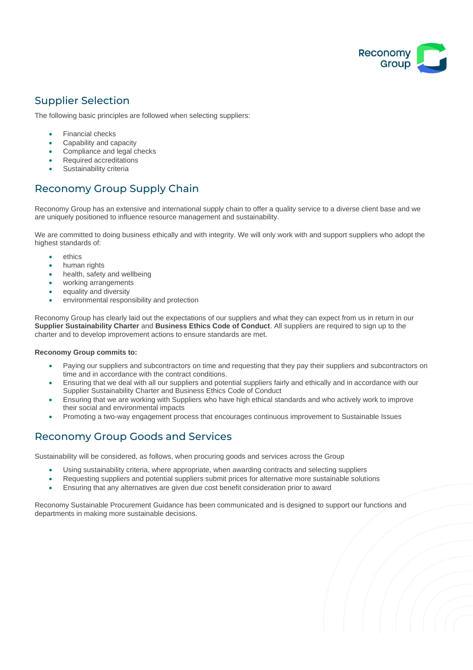

# Supplier Selection

The following basic principles are followed when selecting suppliers:

- Financial checks
- Capability and capacity
- Compliance and legal checks
- Required accreditations
- Sustainability criteria

## Reconomy Group Supply Chain

Reconomy Group has an extensive and international supply chain to offer a quality service to a diverse client base and we are uniquely positioned to influence resource management and sustainability.

We are committed to doing business ethically and with integrity. We will only work with and support suppliers who adopt the highest standards of:

- ethics
- human rights
- health, safety and wellbeing
- working arrangements
- equality and diversity
- environmental responsibility and protection

Reconomy Group has clearly laid out the expectations of our suppliers and what they can expect from us in return in our **Supplier Sustainability Charter** and **Business Ethics Code of Conduct**. All suppliers are required to sign up to the charter and to develop improvement actions to ensure standards are met.

#### **Reconomy Group commits to:**

- Paying our suppliers and subcontractors on time and requesting that they pay their suppliers and subcontractors on time and in accordance with the contract conditions.
- Ensuring that we deal with all our suppliers and potential suppliers fairly and ethically and in accordance with our Supplier Sustainability Charter and Business Ethics Code of Conduct
- Ensuring that we are working with Suppliers who have high ethical standards and who actively work to improve their social and environmental impacts
- Promoting a two-way engagement process that encourages continuous improvement to Sustainable Issues

## Reconomy Group Goods and Services

Sustainability will be considered, as follows, when procuring goods and services across the Group

- Using sustainability criteria, where appropriate, when awarding contracts and selecting suppliers
- Requesting suppliers and potential suppliers submit prices for alternative more sustainable solutions
- Ensuring that any alternatives are given due cost benefit consideration prior to award

Reconomy Sustainable Procurement Guidance has been communicated and is designed to support our functions and departments in making more sustainable decisions.